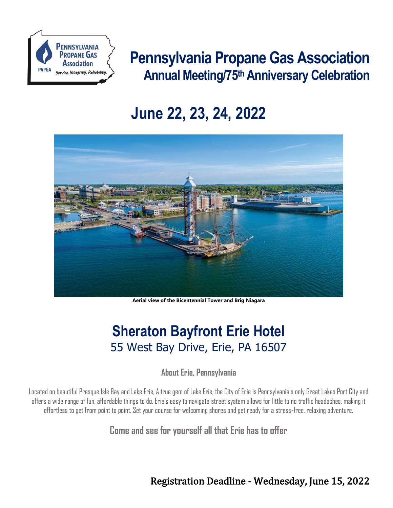

# **Pennsylvania Propane Gas Association Annual Meeting/75th Anniversary Celebration**

# **June 22, 23, 24, 2022**



**Aerial view of the Bicentennial Tower and Brig Niagara**

## **Sheraton Bayfront Erie Hotel** 55 West Bay Drive, Erie, PA 16507

**About Erie, Pennsylvania**

Located on beautiful Presque Isle Bay and Lake Erie, A true gem of Lake Erie, the City of Erie is Pennsylvania's only Great Lakes Port City and offers a wide range of fun, affordable things to do. Erie's easy to navigate street system allows for little to no traffic headaches, making it effortless to get from point to point. Set your course for welcoming shores and get ready for a stress-free, relaxing adventure.

**Come and see for yourself all that Erie has to offer**

[Registration Deadline](https://form.123formbuilder.com/4805412/pa-propane-annual-meeting-attendee-registration) - Wednesday, June 15, 2022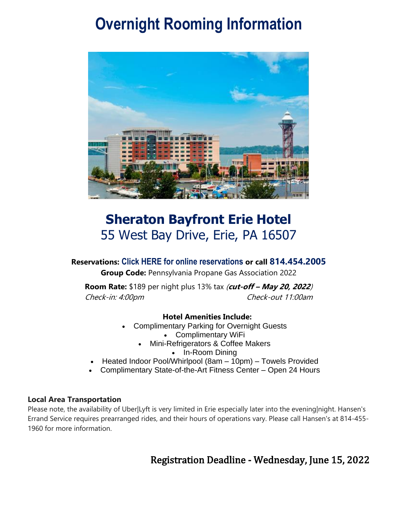# **Overnight Rooming Information**



### **Sheraton Bayfront Erie Hotel** 55 West Bay Drive, Erie, PA 16507

### **Reservations: [Click HERE for online reservations](file://///WANNERFILESVR/data/shared2/Shelby/Annual%20Meeting/2019/Book%20your%20group%20rate%20for%20Pennsylvania%20Propane%20Gas%20Association%202022) or call 814.454.2005 Group Code:** Pennsylvania Propane Gas Association 2022

**Room Rate:** \$189 per night plus 13% tax (**cut-off – May 20, 2022**) Check-in: 4:00pm Check-out 11:00am

### **Hotel Amenities Include:**

- Complimentary Parking for Overnight Guests
	- Complimentary WiFi
	- Mini-Refrigerators & Coffee Makers
		- In-Room Dining
- Heated Indoor Pool/Whirlpool (8am 10pm) Towels Provided
- Complimentary State-of-the-Art Fitness Center Open 24 Hours

### **Local Area Transportation**

Please note, the availability of Uber|Lyft is very limited in Erie especially later into the evening|night. Hansen's Errand Service requires prearranged rides, and their hours of operations vary. Please call Hansen's at 814-455- 1960 for more information.

### Registration Deadline - Wednesday, June 15, 2022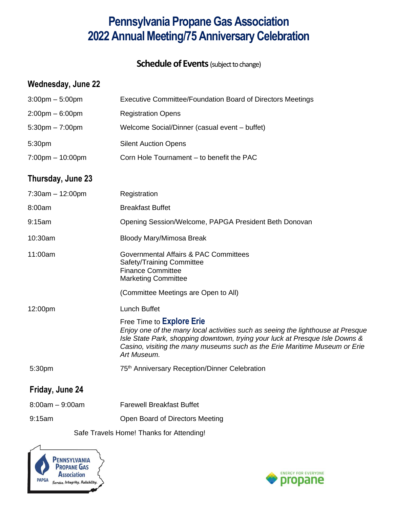### **Pennsylvania Propane Gas Association 2022 Annual Meeting/75 Anniversary Celebration**

**Schedule of Events** (subject to change)

### **Wednesday, June 22**

| $3:00$ pm $-5:00$ pm               | <b>Executive Committee/Foundation Board of Directors Meetings</b>                                                                                                                                                                                                                                |
|------------------------------------|--------------------------------------------------------------------------------------------------------------------------------------------------------------------------------------------------------------------------------------------------------------------------------------------------|
| $2:00$ pm – 6:00pm                 | <b>Registration Opens</b>                                                                                                                                                                                                                                                                        |
| $5:30$ pm $-7:00$ pm               | Welcome Social/Dinner (casual event - buffet)                                                                                                                                                                                                                                                    |
| 5:30pm                             | <b>Silent Auction Opens</b>                                                                                                                                                                                                                                                                      |
| $7:00 \text{pm} - 10:00 \text{pm}$ | Corn Hole Tournament - to benefit the PAC                                                                                                                                                                                                                                                        |
| Thursday, June 23                  |                                                                                                                                                                                                                                                                                                  |
| $7:30am - 12:00pm$                 | Registration                                                                                                                                                                                                                                                                                     |
| 8:00am                             | <b>Breakfast Buffet</b>                                                                                                                                                                                                                                                                          |
| 9:15am                             | Opening Session/Welcome, PAPGA President Beth Donovan                                                                                                                                                                                                                                            |
| 10:30am                            | <b>Bloody Mary/Mimosa Break</b>                                                                                                                                                                                                                                                                  |
| 11:00am                            | Governmental Affairs & PAC Committees<br>Safety/Training Committee<br><b>Finance Committee</b><br><b>Marketing Committee</b>                                                                                                                                                                     |
|                                    | (Committee Meetings are Open to All)                                                                                                                                                                                                                                                             |
| 12:00pm                            | <b>Lunch Buffet</b>                                                                                                                                                                                                                                                                              |
|                                    | Free Time to <b>Explore Erie</b><br>Enjoy one of the many local activities such as seeing the lighthouse at Presque<br>Isle State Park, shopping downtown, trying your luck at Presque Isle Downs &<br>Casino, visiting the many museums such as the Erie Maritime Museum or Erie<br>Art Museum. |
| 5:30pm                             | 75 <sup>th</sup> Anniversary Reception/Dinner Celebration                                                                                                                                                                                                                                        |
| Friday, June 24                    |                                                                                                                                                                                                                                                                                                  |
| $8:00am - 9:00am$                  | <b>Farewell Breakfast Buffet</b>                                                                                                                                                                                                                                                                 |
| 9:15am                             | Open Board of Directors Meeting                                                                                                                                                                                                                                                                  |
|                                    | Safe Travels Home! Thanks for Attending!                                                                                                                                                                                                                                                         |



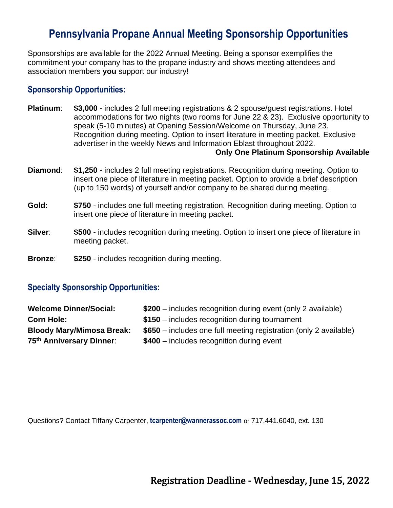### **Pennsylvania Propane Annual Meeting [Sponsorship Opportunities](https://form.123formbuilder.com/4801708/pa-propane-annual-meeting-sponsor-registration)**

Sponsorships are available for the 2022 Annual Meeting. Being a sponsor exemplifies the commitment your company has to the propane industry and shows meeting attendees and association members **you** support our industry!

### **[Sponsorship Opportunities:](https://form.123formbuilder.com/4801708/pa-propane-annual-meeting-sponsor-registration)**

**Platinum**: **\$3,000** - includes 2 full meeting registrations & 2 spouse/guest registrations. Hotel accommodations for two nights (two rooms for June 22 & 23). Exclusive opportunity to speak (5-10 minutes) at Opening Session/Welcome on Thursday, June 23. Recognition during meeting*.* Option to insert literature in meeting packet. Exclusive advertiser in the weekly News and Information Eblast throughout 2022.

#### **Only One Platinum Sponsorship Available**

- **Diamond**: **\$1,250** includes 2 full meeting registrations. Recognition during meeting*.* Option to insert one piece of literature in meeting packet. Option to provide a brief description (up to 150 words) of yourself and/or company to be shared during meeting.
- **Gold: \$750** includes one full meeting registration. Recognition during meeting. Option to insert one piece of literature in meeting packet.
- **Silver: \$500** includes recognition during meeting. Option to insert one piece of literature in meeting packet.
- **Bronze**: **\$250** includes recognition during meeting.

### **Specialty Sponsorship Opportunities:**

| <b>Welcome Dinner/Social:</b>    | \$200 – includes recognition during event (only 2 available)      |
|----------------------------------|-------------------------------------------------------------------|
| <b>Corn Hole:</b>                | $$150$ – includes recognition during tournament                   |
| <b>Bloody Mary/Mimosa Break:</b> | \$650 – includes one full meeting registration (only 2 available) |
| 75th Anniversary Dinner:         | \$400 - includes recognition during event                         |

Questions? Contact Tiffany Carpenter, **[tcarpenter@wannerassoc.com](mailto:tcarpenter@wannerassoc.com)** or 717.441.6040, ext. 130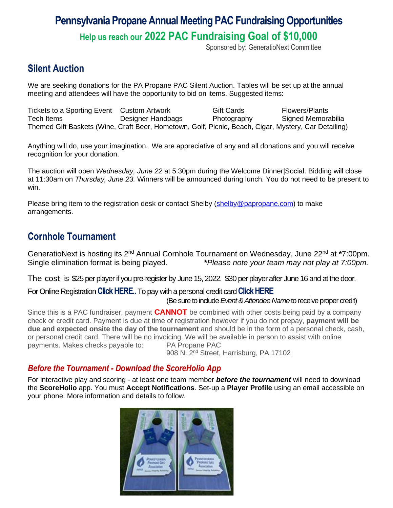# **Pennsylvania Propane Annual Meeting PAC Fundraising Opportunities**

**Help us reach our 2022 PAC Fundraising Goal of \$10,000**

Sponsored by: GeneratioNext Committee

### **[Silent Auction](http://www.123formbuilder.com/form-4801483/papga-silent-auction-donation-form)**

We are seeking donations for the PA Propane PAC Silent Auction. Tables will be set up at the annual meeting and attendees will have the opportunity to bid on items. Suggested items:

Tickets to a Sporting Event Custom Artwork Gift Cards Flowers/Plants Tech Items Designer Handbags Photography Signed Memorabilia Themed Gift Baskets (Wine, Craft Beer, Hometown, Golf, Picnic, Beach, Cigar, Mystery, Car Detailing)

Anything will do, use your imagination. We are appreciative of any and all donations and you will receive recognition for your donation.

The auction will open *Wednesday, June 22* at 5:30pm during the Welcome Dinner|Social. Bidding will close at 11:30am on *Thursday, June 23.* Winners will b*e* announced during lunch. You do not need to be present to win.

Please bring item to the registration desk or contact Shelby [\(shelby@papropane.com\)](mailto:shelby@papropane.com) to make arrangements.

### **Cornhole [Tournament](http://www.123formbuilder.com/form-4801579/papga-pac-2019-cornhole-tournament)**

GeneratioNext is hosting its 2<sup>nd</sup> Annual Cornhole Tournament on Wednesday, June 22<sup>nd</sup> at \*7:00pm. Single elimination format is being played. **\****Please note your team may not play at 7:00pm.*

The cost is \$25 per player if you pre-register by June 15, 2022. \$30 per player after June 16 and at the door.

### For Online Registration**[Click HERE.](https://form.123formbuilder.com/4801579/form).**To pay with a personal credit card**[Click HERE](https://www.papropane.com/product/invoice/)** (Be sure to include *Event& Attendee Name*to receive proper credit)

Since this is a PAC fundraiser, payment **CANNOT** be combined with other costs being paid by a company check or credit card. Payment is due at time of registration however if you do not prepay, **payment will be due and expected onsite the day of the tournament** and should be in the form of a personal check, cash, or personal credit card. There will be no invoicing. We will be available in person to assist with online payments. Makes checks payable to: PA Propane PAC

908 N. 2nd Street, Harrisburg, PA 17102

### *Before the Tournament - Download the ScoreHolio App*

For interactive play and scoring - at least one team member *before the tournament* will need to download the **ScoreHolio** app. You must **Accept Notifications**. Set-up a **Player Profile** using an email accessible on your phone. More information and details to follow.

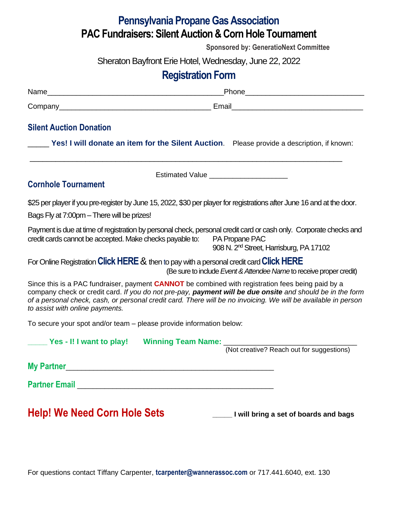### **Pennsylvania Propane Gas Association PAC Fundraisers: Silent Auction& Corn Hole Tournament**

**Sponsored by: GeneratioNext Committee**

Sheraton Bayfront Erie Hotel, Wednesday, June 22, 2022

### **Registration Form**

| Name              | <b>Dhono</b><br>זו טו |
|-------------------|-----------------------|
| Company<br>. panv | Email                 |

### **[Silent Auction](http://www.123formbuilder.com/form-4801483/papga-silent-auction-donation-form) Donation**

**Cornhole [Tournament](http://www.123formbuilder.com/form-4801579/papga-pac-2019-cornhole-tournament)**

**[Yes! I will donate an item for the Silent Auction](https://form.123formbuilder.com/4801483/form).** Please provide a description, if known:

Estimated Value

\_\_\_\_\_\_\_\_\_\_\_\_\_\_\_\_\_\_\_\_\_\_\_\_\_\_\_\_\_\_\_\_\_\_\_\_\_\_\_\_\_\_\_\_\_\_\_\_\_\_\_\_\_\_\_\_\_\_\_\_\_\_\_\_\_\_\_\_\_\_\_\_\_

\$25 per player if you pre-register by June 15, 2022, \$30 per playerfor registrations after June 16 and at the door.

Bags Fly at 7:00pm – There will be prizes!

Payment is due at time of registration by personal check, personal credit card or cash only. Corporate checks and credit cards cannot be accepted. Make checks payable to: PA Propane PAC ende N. 2<sup>nd</sup> Street, Harrisburg, PA 17102

For Online Registration**[Click HERE](https://form.123formbuilder.com/4801579/form)**& then to pay with a personal credit card**[Click HERE](https://www.papropane.com/product/invoice/)** (Be sure to include *Event& Attendee Name*to receive proper credit)

Since this is a PAC fundraiser, payment **CANNOT** be combined with registration fees being paid by a company check or credit card. *If you do not pre-pay, payment will be due onsite and should be in the form of a personal check, cash, or personal credit card. There will be no invoicing. We will be available in person to assist with online payments.*

To secure your spot and/or team – please provide information below:

| Yes - I! I want to play! |  | <b>Winning Team Name:</b> |  |
|--------------------------|--|---------------------------|--|
|                          |  |                           |  |

(Not creative? Reach out for suggestions)

**My Partner**\_\_\_\_\_\_\_\_\_\_\_\_\_\_\_\_\_\_\_\_\_\_\_\_\_\_\_\_\_\_\_\_\_\_\_\_\_\_\_\_\_\_\_\_\_\_\_\_\_\_\_\_\_

**Partner Email Contract Email Contract Email** 

**Help! We Need Corn Hole Sets \_\_\_\_\_ I will bring a set of boards and bags**